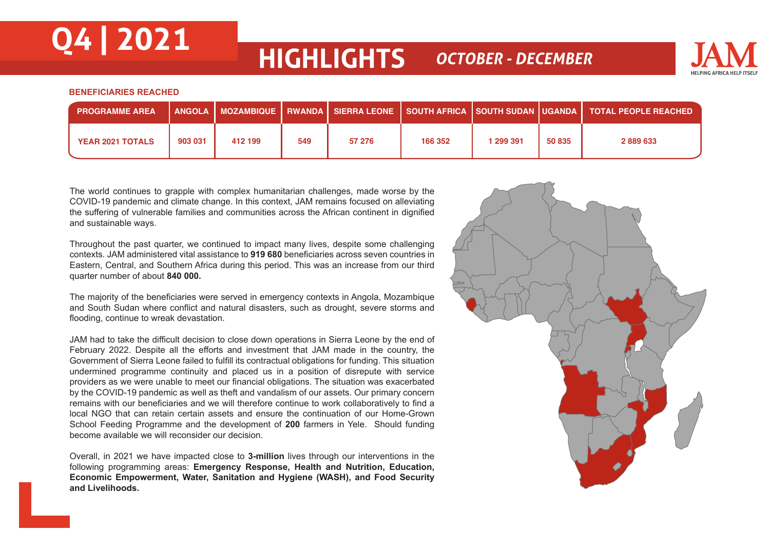## **Q4 | 2021 HIGHLIGHTS** *OCTOBER - DECEMBER*



## **BENEFICIARIES REACHED**

| <b>PROGRAMME AREA</b>   |         |         |     |        |         |           |        | │ ANGOLA │ MOZAMBIQUE │ RWANDA │ SIERRA LEONE │ SOUTH AFRICA │SOUTH SUDAN │UGANDA │ TOTAL PEOPLE REACHED, |
|-------------------------|---------|---------|-----|--------|---------|-----------|--------|-----------------------------------------------------------------------------------------------------------|
| <b>YEAR 2021 TOTALS</b> | 903 031 | 412 199 | 549 | 57 276 | 166 352 | 1 299 391 | 50 835 | 2889633                                                                                                   |

The world continues to grapple with complex humanitarian challenges, made worse by the COVID-19 pandemic and climate change. In this context, JAM remains focused on alleviating the suffering of vulnerable families and communities across the African continent in dignified and sustainable ways.

Throughout the past quarter, we continued to impact many lives, despite some challenging contexts. JAM administered vital assistance to **919 680** beneficiaries across seven countries in Eastern, Central, and Southern Africa during this period. This was an increase from our third quarter number of about **840 000.**

The majority of the beneficiaries were served in emergency contexts in Angola, Mozambique and South Sudan where conflict and natural disasters, such as drought, severe storms and flooding, continue to wreak devastation.

JAM had to take the difficult decision to close down operations in Sierra Leone by the end of February 2022. Despite all the efforts and investment that JAM made in the country, the Government of Sierra Leone failed to fulfill its contractual obligations for funding. This situation undermined programme continuity and placed us in a position of disrepute with service providers as we were unable to meet our financial obligations. The situation was exacerbated by the COVID-19 pandemic as well as theft and vandalism of our assets. Our primary concern remains with our beneficiaries and we will therefore continue to work collaboratively to find a local NGO that can retain certain assets and ensure the continuation of our Home-Grown School Feeding Programme and the development of **200** farmers in Yele. Should funding become available we will reconsider our decision.

Overall, in 2021 we have impacted close to **3-million** lives through our interventions in the following programming areas: **Emergency Response, Health and Nutrition, Education, Economic Empowerment, Water, Sanitation and Hygiene (WASH), and Food Security and Livelihoods.** 

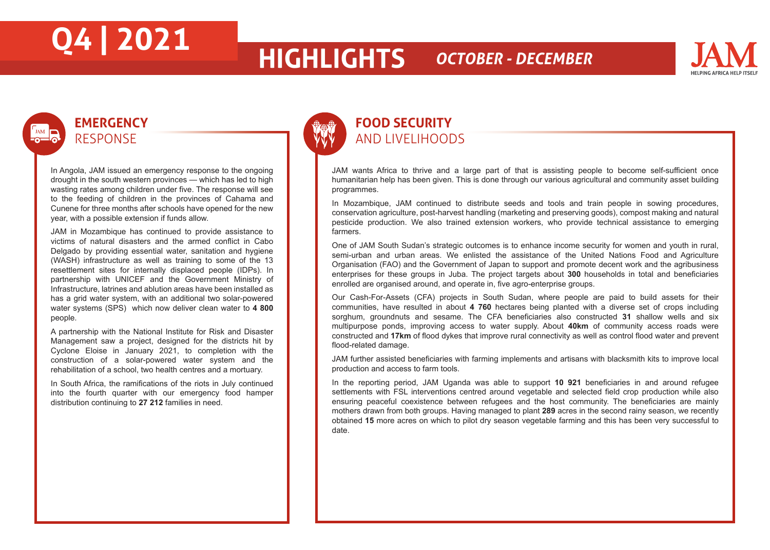## **Q4 | 2021 HIGHLIGHTS** *OCTOBER - DECEMBER*



## **EMERGENCY** RESPONSE

In Angola, JAM issued an emergency response to the ongoing drought in the south western provinces — which has led to high wasting rates among children under five. The response will see to the feeding of children in the provinces of Cahama and Cunene for three months after schools have opened for the new year, with a possible extension if funds allow.

JAM in Mozambique has continued to provide assistance to victims of natural disasters and the armed conflict in Cabo Delgado by providing essential water, sanitation and hygiene (WASH) infrastructure as well as training to some of the 13 resettlement sites for internally displaced people (IDPs). In partnership with UNICEF and the Government Ministry of Infrastructure, latrines and ablution areas have been installed as has a grid water system, with an additional two solar-powered water systems (SPS) which now deliver clean water to **4 800** people.

A partnership with the National Institute for Risk and Disaster Management saw a project, designed for the districts hit by Cyclone Eloise in January 2021, to completion with the construction of a solar-powered water system and the rehabilitation of a school, two health centres and a mortuary.

In South Africa, the ramifications of the riots in July continued into the fourth quarter with our emergency food hamper distribution continuing to **27 212** families in need.



## **FOOD SECURITY** AND LIVELIHOODS

JAM wants Africa to thrive and a large part of that is assisting people to become self-sufficient once humanitarian help has been given. This is done through our various agricultural and community asset building programmes.

In Mozambique, JAM continued to distribute seeds and tools and train people in sowing procedures, conservation agriculture, post-harvest handling (marketing and preserving goods), compost making and natural pesticide production. We also trained extension workers, who provide technical assistance to emerging farmers.

One of JAM South Sudan's strategic outcomes is to enhance income security for women and youth in rural, semi-urban and urban areas. We enlisted the assistance of the United Nations Food and Agriculture Organisation (FAO) and the Government of Japan to support and promote decent work and the agribusiness enterprises for these groups in Juba. The project targets about **300** households in total and beneficiaries enrolled are organised around, and operate in, five agro-enterprise groups.

Our Cash-For-Assets (CFA) projects in South Sudan, where people are paid to build assets for their communities, have resulted in about **4 760** hectares being planted with a diverse set of crops including sorghum, groundnuts and sesame. The CFA beneficiaries also constructed **31** shallow wells and six multipurpose ponds, improving access to water supply. About **40km** of community access roads were constructed and **17km** of flood dykes that improve rural connectivity as well as control flood water and prevent flood-related damage.

JAM further assisted beneficiaries with farming implements and artisans with blacksmith kits to improve local production and access to farm tools.

In the reporting period, JAM Uganda was able to support **10 921** beneficiaries in and around refugee settlements with FSL interventions centred around vegetable and selected field crop production while also ensuring peaceful coexistence between refugees and the host community. The beneficiaries are mainly mothers drawn from both groups. Having managed to plant **289** acres in the second rainy season, we recently obtained **15** more acres on which to pilot dry season vegetable farming and this has been very successful to date.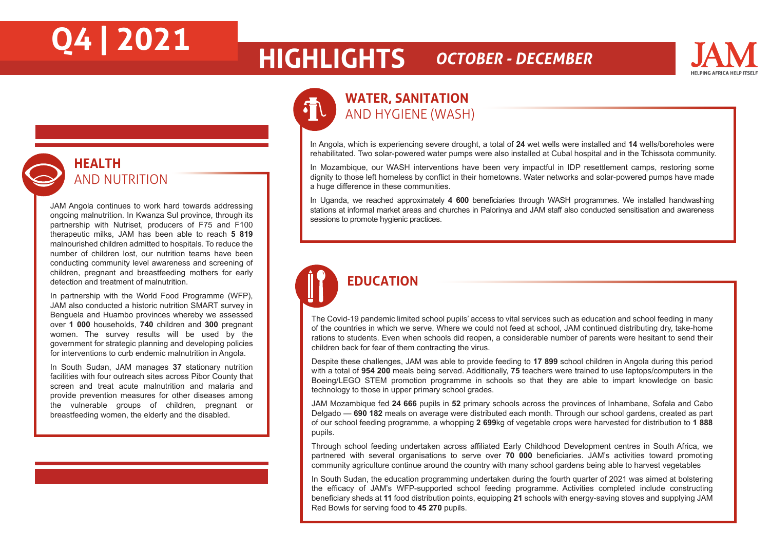## **Q4 | 2021 HIGHLIGHTS** *OCTOBER - DECEMBER*



## **WATER, SANITATION**  AND HYGIENE (WASH)

In Angola, which is experiencing severe drought, a total of **24** wet wells were installed and **14** wells/boreholes were rehabilitated. Two solar-powered water pumps were also installed at Cubal hospital and in the Tchissota community.

In Mozambique, our WASH interventions have been very impactful in IDP resettlement camps, restoring some dignity to those left homeless by conflict in their hometowns. Water networks and solar-powered pumps have made a huge difference in these communities.

In Uganda, we reached approximately **4 600** beneficiaries through WASH programmes. We installed handwashing stations at informal market areas and churches in Palorinya and JAM staff also conducted sensitisation and awareness sessions to promote hygienic practices.

## **EDUCATION**

l

The Covid-19 pandemic limited school pupils' access to vital services such as education and school feeding in many of the countries in which we serve. Where we could not feed at school, JAM continued distributing dry, take-home rations to students. Even when schools did reopen, a considerable number of parents were hesitant to send their children back for fear of them contracting the virus.

Despite these challenges, JAM was able to provide feeding to **17 899** school children in Angola during this period with a total of **954 200** meals being served. Additionally, **75** teachers were trained to use laptops/computers in the Boeing/LEGO STEM promotion programme in schools so that they are able to impart knowledge on basic technology to those in upper primary school grades.

JAM Mozambique fed **24 666** pupils in **52** primary schools across the provinces of Inhambane, Sofala and Cabo Delgado — **690 182** meals on average were distributed each month. Through our school gardens, created as part of our school feeding programme, a whopping **2 699**kg of vegetable crops were harvested for distribution to **1 888**  pupils.

Through school feeding undertaken across affiliated Early Childhood Development centres in South Africa, we partnered with several organisations to serve over **70 000** beneficiaries. JAM's activities toward promoting community agriculture continue around the country with many school gardens being able to harvest vegetables

In South Sudan, the education programming undertaken during the fourth quarter of 2021 was aimed at bolstering the efficacy of JAM's WFP-supported school feeding programme. Activities completed include constructing beneficiary sheds at **11** food distribution points, equipping **21** schools with energy-saving stoves and supplying JAM Red Bowls for serving food to **45 270** pupils.

**HEALTH**  AND NUTRITION

JAM Angola continues to work hard towards addressing ongoing malnutrition. In Kwanza Sul province, through its partnership with Nutriset, producers of F75 and F100 therapeutic milks, JAM has been able to reach **5 819**  malnourished children admitted to hospitals. To reduce the number of children lost, our nutrition teams have been conducting community level awareness and screening of children, pregnant and breastfeeding mothers for early detection and treatment of malnutrition.

In partnership with the World Food Programme (WFP), JAM also conducted a historic nutrition SMART survey in Benguela and Huambo provinces whereby we assessed over **1 000** households, **740** children and **300** pregnant women. The survey results will be used by the government for strategic planning and developing policies for interventions to curb endemic malnutrition in Angola.

In South Sudan, JAM manages **37** stationary nutrition facilities with four outreach sites across Pibor County that screen and treat acute malnutrition and malaria and provide prevention measures for other diseases among the vulnerable groups of children, pregnant or breastfeeding women, the elderly and the disabled.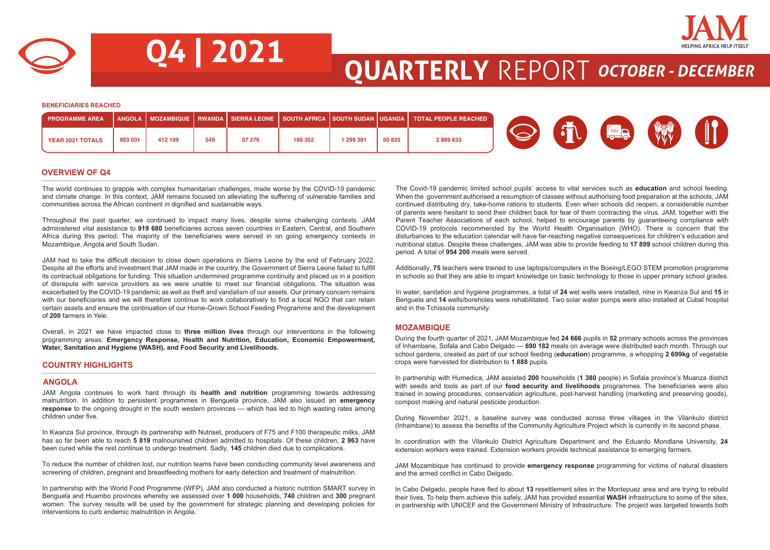



**Q4 | 2021 QUARTERLY** REPORT *OCTOBER - DECEMBER*

**BENEFICIARIES REACHED**

| <b>PROGRAMME AREA</b> |         |         |     |        |         |         |        | ANGOLA   MOZAMBIQUE   RWANDA   SIERRA LEONE   SOUTH AFRICA  SOUTH SUDAN  UGANDA   TOTAL PEOPLE REACHED |  |                |  |
|-----------------------|---------|---------|-----|--------|---------|---------|--------|--------------------------------------------------------------------------------------------------------|--|----------------|--|
| YEAR 2021 TOTALS      | 903 031 | 412 199 | 549 | 57 276 | 166 352 | 299 391 | 50 835 | 2889633                                                                                                |  | <del>പ</del> പ |  |

## **OVERVIEW OF Q4**

The world continues to grapple with complex humanitarian challenges, made worse by the COVID-19 pandemic and climate change. In this context, JAM remains focused on alleviating the suffering of vulnerable families and communities across the African continent in dignified and sustainable ways.

Throughout the past quarter, we continued to impact many lives, despite some challenging contexts. JAM administered vital assistance to **919 680** beneficiaries across seven countries in Eastern, Central, and Southern Africa during this period. The majority of the beneficiaries were served in on going emergency contexts in Mozambique, Angola and South Sudan.

JAM had to take the difficult decision to close down operations in Sierra Leone by the end of February 2022. Despite all the efforts and investment that JAM made in the country, the Government of Sierra Leone failed to fulfill its contractual obligations for funding. This situation undermined programme continuity and placed us in a position of disrepute with service providers as we were unable to meet our financial obligations. The situation was exacerbated by the COVID-19 pandemic as well as theft and vandalism of our assets. Our primary concern remains with our beneficiaries and we will therefore continue to work collaboratively to find a local NGO that can retain certain assets and ensure the continuation of our Home-Grown School Feeding Programme and the development of **200** farmers in Yele.

Overall, in 2021 we have impacted close to **three million lives** through our interventions in the following programming areas: **Emergency Response, Health and Nutrition, Education, Economic Empowerment, Water, Sanitation and Hygiene (WASH), and Food Security and Livelihoods.** 

## **COUNTRY HIGHLIGHTS**

## **ANGOLA**

JAM Angola continues to work hard through its **health and nutrition** programming towards addressing malnutrition. In addition to persistent programmes in Benguela province, JAM also issued an **emergency response** to the ongoing drought in the south western provinces — which has led to high wasting rates among children under five.

In Kwanza Sul province, through its partnership with Nutriset, producers of F75 and F100 therapeutic milks, JAM has so far been able to reach **5 819** malnourished children admitted to hospitals. Of these children, **2 963** have been cured while the rest continue to undergo treatment. Sadly, **145** children died due to complications.

To reduce the number of children lost, our nutrition teams have been conducting community level awareness and screening of children, pregnant and breastfeeding mothers for early detection and treatment of malnutrition.

In partnership with the World Food Programme (WFP), JAM also conducted a historic nutrition SMART survey in Benguela and Huambo provinces whereby we assessed over **1 000** households, **740** children and **300** pregnant women. The survey results will be used by the government for strategic planning and developing policies for interventions to curb endemic malnutrition in Angola.

The Covid-19 pandemic limited school pupils' access to vital services such as **education** and school feeding. When the government authorised a resumption of classes without authorising food preparation at the schools, JAM continued distributing dry, take-home rations to students. Even when schools did reopen, a considerable number of parents were hesitant to send their children back for fear of them contracting the virus. JAM, together with the Parent Teacher Associations of each school, helped to encourage parents by guaranteeing compliance with COVID-19 protocols recommended by the World Health Organisation (WHO). There is concern that the disturbances to the education calendar will have far-reaching negative consequences for children's education and nutritional status. Despite these challenges, JAM was able to provide feeding to **17 899** school children during this period. A total of **954 200** meals were served.

Additionally, **75** teachers were trained to use laptops/computers in the Boeing/LEGO STEM promotion programme in schools so that they are able to impart knowledge on basic technology to those in upper primary school grades.

In water, sanitation and hygiene programmes, a total of **24** wet wells were installed, nine in Kwanza Sul and **15** in Benguela and **14** wells/boreholes were rehabilitated. Two solar water pumps were also installed at Cubal hospital and in the Tchissota community.

## **MOZAMBIQUE**

During the fourth quarter of 2021, JAM Mozambique fed **24 666** pupils in **52** primary schools across the provinces of Inhambane, Sofala and Cabo Delgado — **690 182** meals on average were distributed each month. Through our school gardens, created as part of our school feeding (**education**) programme, a whopping **2 699kg** of vegetable crops were harvested for distribution to **1 888** pupils.

In partnership with Humedica, JAM assisted **200** households (**1 380** people) in Sofala province's Muanza district with seeds and tools as part of our **food security and livelihoods** programmes. The beneficiaries were also trained in sowing procedures, conservation agriculture, post-harvest handling (marketing and preserving goods), compost making and natural pesticide production.

During November 2021, a baseline survey was conducted across three villages in the Vilankulo district (Inhambane) to assess the benefits of the Community Agriculture Project which is currently in its second phase.

In coordination with the Vilankulo District Agriculture Department and the Eduardo Mondlane University, **24** extension workers were trained. Extension workers provide technical assistance to emerging farmers.

JAM Mozambique has continued to provide **emergency response** programming for victims of natural disasters and the armed conflict in Cabo Delgado.

In Cabo Delgado, people have fled to about **13** resettlement sites in the Montepuez area and are trying to rebuild their lives. To help them achieve this safely, JAM has provided essential **WASH** infrastructure to some of the sites, in partnership with UNICEF and the Government Ministry of Infrastructure. The project was targeted towards both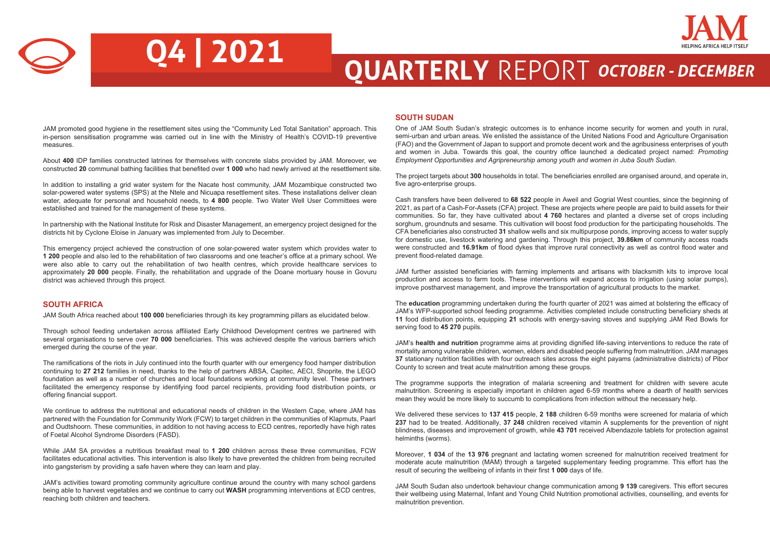

# **Q4 | 2021 QUARTERLY** REPORT *OCTOBER - DECEMBER*

JAM promoted good hygiene in the resettlement sites using the "Community Led Total Sanitation" approach. This in-person sensitisation programme was carried out in line with the Ministry of Health's COVID-19 preventive measures.

About **400** IDP families constructed latrines for themselves with concrete slabs provided by JAM. Moreover, we constructed **20** communal bathing facilities that benefited over **1 000** who had newly arrived at the resettlement site.

In addition to installing a grid water system for the Nacate host community, JAM Mozambique constructed two solar-powered water systems (SPS) at the Ntele and Nicuapa resettlement sites. These installations deliver clean water, adequate for personal and household needs, to **4 800** people. Two Water Well User Committees were established and trained for the management of these systems.

In partnership with the National Institute for Risk and Disaster Management, an emergency project designed for the districts hit by Cyclone Eloise in January was implemented from July to December.

This emergency project achieved the construction of one solar-powered water system which provides water to **1 200** people and also led to the rehabilitation of two classrooms and one teacher's office at a primary school. We were also able to carry out the rehabilitation of two health centres, which provide healthcare services to approximately **20 000** people. Finally, the rehabilitation and upgrade of the Doane mortuary house in Govuru district was achieved through this project.

## **SOUTH AFRICA**

JAM South Africa reached about **100 000** beneficiaries through its key programming pillars as elucidated below.

Through school feeding undertaken across affiliated Early Childhood Development centres we partnered with several organisations to serve over **70 000** beneficiaries. This was achieved despite the various barriers which emerged during the course of the year.

The ramifications of the riots in July continued into the fourth quarter with our emergency food hamper distribution continuing to **27 212** families in need, thanks to the help of partners ABSA, Capitec, AECI, Shoprite, the LEGO foundation as well as a number of churches and local foundations working at community level. These partners facilitated the emergency response by identifying food parcel recipients, providing food distribution points, or offering financial support.

We continue to address the nutritional and educational needs of children in the Western Cape, where JAM has partnered with the Foundation for Community Work (FCW) to target children in the communities of Klapmuts, Paarl and Oudtshoorn. These communities, in addition to not having access to ECD centres, reportedly have high rates of Foetal Alcohol Syndrome Disorders (FASD).

While JAM SA provides a nutritious breakfast meal to **1 200** children across these three communities, FCW facilitates educational activities. This intervention is also likely to have prevented the children from being recruited into gangsterism by providing a safe haven where they can learn and play.

JAM's activities toward promoting community agriculture continue around the country with many school gardens being able to harvest vegetables and we continue to carry out **WASH** programming interventions at ECD centres, reaching both children and teachers.

## **SOUTH SUDAN**

One of JAM South Sudan's strategic outcomes is to enhance income security for women and youth in rural, semi-urban and urban areas. We enlisted the assistance of the United Nations Food and Agriculture Organisation (FAO) and the Government of Japan to support and promote decent work and the agribusiness enterprises of youth and women in Juba. Towards this goal, the country office launched a dedicated project named: *Promoting Employment Opportunities and Agripreneurship among youth and women in Juba South Sudan.* 

The project targets about **300** households in total. The beneficiaries enrolled are organised around, and operate in, five agro-enterprise groups.

Cash transfers have been delivered to **68 522** people in Aweil and Gogrial West counties, since the beginning of 2021, as part of a Cash-For-Assets (CFA) project. These are projects where people are paid to build assets for their communities. So far, they have cultivated about **4 760** hectares and planted a diverse set of crops including sorghum, groundnuts and sesame. This cultivation will boost food production for the participating households. The CFA beneficiaries also constructed **31** shallow wells and six multipurpose ponds, improving access to water supply for domestic use, livestock watering and gardening. Through this project, **39.86km** of community access roads were constructed and **16.91km** of flood dykes that improve rural connectivity as well as control flood water and prevent flood-related damage.

JAM further assisted beneficiaries with farming implements and artisans with blacksmith kits to improve local production and access to farm tools. These interventions will expand access to irrigation (using solar pumps), improve postharvest management, and improve the transportation of agricultural products to the market.

The **education** programming undertaken during the fourth quarter of 2021 was aimed at bolstering the efficacy of JAM's WFP-supported school feeding programme. Activities completed include constructing beneficiary sheds at **11** food distribution points, equipping **21** schools with energy-saving stoves and supplying JAM Red Bowls for serving food to **45 270** pupils.

JAM's **health and nutrition** programme aims at providing dignified life-saving interventions to reduce the rate of mortality among vulnerable children, women, elders and disabled people suffering from malnutrition. JAM manages **37** stationary nutrition facilities with four outreach sites across the eight payams (administrative districts) of Pibor County to screen and treat acute malnutrition among these groups.

The programme supports the integration of malaria screening and treatment for children with severe acute malnutrition. Screening is especially important in children aged 6-59 months where a dearth of health services mean they would be more likely to succumb to complications from infection without the necessary help.

We delivered these services to **137 415** people, **2 188** children 6-59 months were screened for malaria of which **237** had to be treated. Additionally, **37 248** children received vitamin A supplements for the prevention of night blindness, diseases and improvement of growth, while **43 701** received Albendazole tablets for protection against helminths (worms).

Moreover, **1 034** of the **13 976** pregnant and lactating women screened for malnutrition received treatment for moderate acute malnutrition (MAM) through a targeted supplementary feeding programme. This effort has the result of securing the wellbeing of infants in their first **1 000** days of life.

JAM South Sudan also undertook behaviour change communication among **9 139** caregivers. This effort secures their wellbeing using Maternal, Infant and Young Child Nutrition promotional activities, counselling, and events for malnutrition prevention.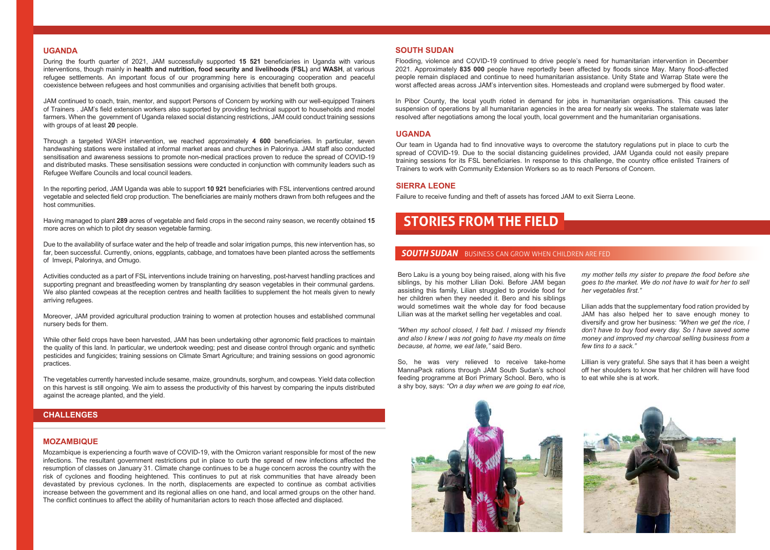## **UGANDA**

During the fourth quarter of 2021, JAM successfully supported **15 521** beneficiaries in Uganda with various interventions, though mainly in **health and nutrition, food security and livelihoods (FSL)** and **WASH**, at various refugee settlements. An important focus of our programming here is encouraging cooperation and peaceful coexistence between refugees and host communities and organising activities that benefit both groups.

JAM continued to coach, train, mentor, and support Persons of Concern by working with our well-equipped Trainers of Trainers . JAM's field extension workers also supported by providing technical support to households and model farmers. When the government of Uganda relaxed social distancing restrictions, JAM could conduct training sessions with groups of at least **20** people.

Through a targeted WASH intervention, we reached approximately **4 600** beneficiaries. In particular, seven handwashing stations were installed at informal market areas and churches in Palorinya. JAM staff also conducted sensitisation and awareness sessions to promote non-medical practices proven to reduce the spread of COVID-19 and distributed masks. These sensitisation sessions were conducted in conjunction with community leaders such as Refugee Welfare Councils and local council leaders.

In the reporting period, JAM Uganda was able to support **10 921** beneficiaries with FSL interventions centred around vegetable and selected field crop production. The beneficiaries are mainly mothers drawn from both refugees and the host communities.

Having managed to plant **289** acres of vegetable and field crops in the second rainy season, we recently obtained **15** more acres on which to pilot dry season vegetable farming.

Due to the availability of surface water and the help of treadle and solar irrigation pumps, this new intervention has, so far, been successful. Currently, onions, eggplants, cabbage, and tomatoes have been planted across the settlements of Imvepi, Palorinya, and Omugo.

Activities conducted as a part of FSL interventions include training on harvesting, post-harvest handling practices and supporting pregnant and breastfeeding women by transplanting dry season vegetables in their communal gardens. We also planted cowpeas at the reception centres and health facilities to supplement the hot meals given to newly arriving refugees.

Moreover, JAM provided agricultural production training to women at protection houses and established communal nursery beds for them.

While other field crops have been harvested, JAM has been undertaking other agronomic field practices to maintain the quality of this land. In particular, we undertook weeding; pest and disease control through organic and synthetic pesticides and fungicides; training sessions on Climate Smart Agriculture; and training sessions on good agronomic practices.

The vegetables currently harvested include sesame, maize, groundnuts, sorghum, and cowpeas. Yield data collection on this harvest is still ongoing. We aim to assess the productivity of this harvest by comparing the inputs distributed against the acreage planted, and the yield.

## **CHALLENGES**

## **MOZAMBIQUE**

Mozambique is experiencing a fourth wave of COVID-19, with the Omicron variant responsible for most of the new infections. The resultant government restrictions put in place to curb the spread of new infections affected the resumption of classes on January 31. Climate change continues to be a huge concern across the country with the risk of cyclones and flooding heightened. This continues to put at risk communities that have already been devastated by previous cyclones. In the north, displacements are expected to continue as combat activities increase between the government and its regional allies on one hand, and local armed groups on the other hand. The conflict continues to affect the ability of humanitarian actors to reach those affected and displaced.

## **SOUTH SUDAN**

Flooding, violence and COVID-19 continued to drive people's need for humanitarian intervention in December 2021. Approximately **835 000** people have reportedly been affected by floods since May. Many flood-affected people remain displaced and continue to need humanitarian assistance. Unity State and Warrap State were the worst affected areas across JAM's intervention sites. Homesteads and cropland were submerged by flood water.

In Pibor County, the local youth rioted in demand for jobs in humanitarian organisations. This caused the suspension of operations by all humanitarian agencies in the area for nearly six weeks. The stalemate was later resolved after negotiations among the local youth, local government and the humanitarian organisations.

## **UGANDA**

Our team in Uganda had to find innovative ways to overcome the statutory regulations put in place to curb the spread of COVID-19. Due to the social distancing guidelines provided, JAM Uganda could not easily prepare training sessions for its FSL beneficiaries. In response to this challenge, the country office enlisted Trainers of Trainers to work with Community Extension Workers so as to reach Persons of Concern.

## **SIERRA LEONE**

Failure to receive funding and theft of assets has forced JAM to exit Sierra Leone.

## **STORIES FROM THE FIELD**

## **SOUTH SUDAN** BUSINESS CAN GROW WHEN CHILDREN ARE FED

Bero Laku is a young boy being raised, along with his five siblings, by his mother Lilian Doki. Before JAM began assisting this family, Lilian struggled to provide food for her children when they needed it. Bero and his siblings would sometimes wait the whole day for food because Lilian was at the market selling her vegetables and coal.

*"When my school closed, I felt bad. I missed my friends and also I knew I was not going to have my meals on time because, at home, we eat late,"* said Bero.

So, he was very relieved to receive take-home MannaPack rations through JAM South Sudan's school feeding programme at Bori Primary School. Bero, who is a shy boy, says: *"On a day when we are going to eat rice,*  *my mother tells my sister to prepare the food before she goes to the market. We do not have to wait for her to sell her vegetables first."*

Lilian adds that the supplementary food ration provided by JAM has also helped her to save enough money to diversify and grow her business: *"When we get the rice, I don't have to buy food every day. So I have saved some money and improved my charcoal selling business from a few tins to a sack."* 

Lillian is very grateful. She says that it has been a weight off her shoulders to know that her children will have food to eat while she is at work.